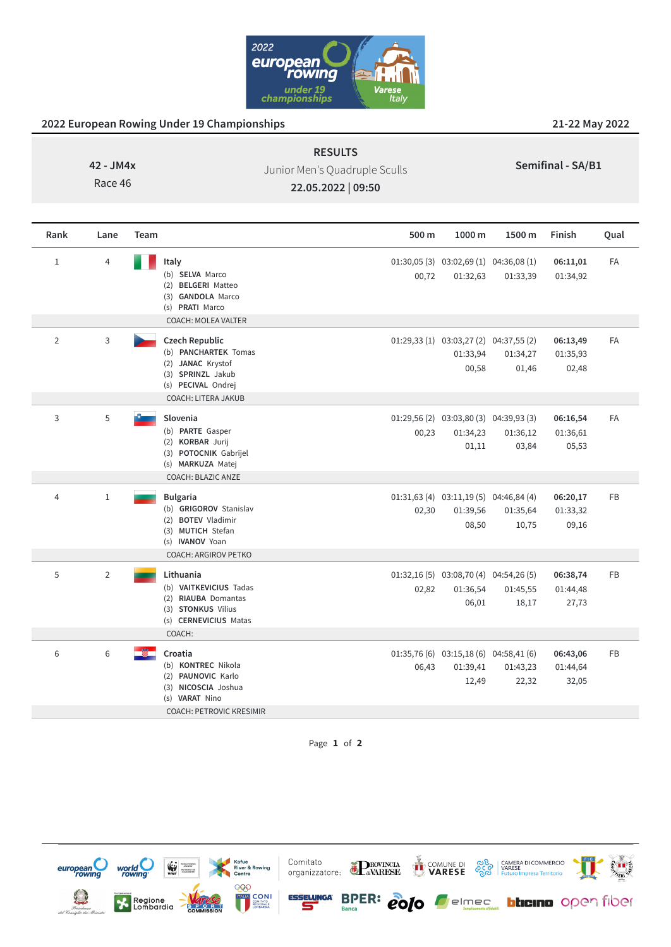

## **2022 European Rowing Under 19 Championships 21-22 May 2022**

**42 - JM4x**

Race 46

Junior Men's Quadruple Sculls

**RESULTS**

**Semifinal - SA/B1**

**22.05.2022 | 09:50**

| Rank           | Lane           | Team                                                                                                                                          | 500 m | 1000 m                                                         | 1500 m            | Finish                        | Qual      |
|----------------|----------------|-----------------------------------------------------------------------------------------------------------------------------------------------|-------|----------------------------------------------------------------|-------------------|-------------------------------|-----------|
| $\mathbf 1$    | 4              | Italy<br>(b) SELVA Marco<br>(2) BELGERI Matteo<br>(3) GANDOLA Marco<br>(s) PRATI Marco<br><b>COACH: MOLEA VALTER</b>                          | 00,72 | $01:30,05(3)$ $03:02,69(1)$ $04:36,08(1)$<br>01:32,63          | 01:33,39          | 06:11,01<br>01:34,92          | <b>FA</b> |
| $\overline{2}$ | 3              | <b>Czech Republic</b><br>(b) PANCHARTEK Tomas<br>(2) JANAC Krystof<br>(3) SPRINZL Jakub<br>(s) PECIVAL Ondrej<br><b>COACH: LITERA JAKUB</b>   |       | $01:29,33(1)$ $03:03,27(2)$ $04:37,55(2)$<br>01:33,94<br>00,58 | 01:34,27<br>01,46 | 06:13,49<br>01:35,93<br>02,48 | <b>FA</b> |
| 3              | 5              | Slovenia<br>(b) PARTE Gasper<br>(2) KORBAR Jurij<br>(3) POTOCNIK Gabrijel<br>(s) MARKUZA Matej<br><b>COACH: BLAZIC ANZE</b>                   | 00,23 | $01:29,56(2)$ $03:03,80(3)$ $04:39,93(3)$<br>01:34,23<br>01,11 | 01:36,12<br>03,84 | 06:16,54<br>01:36,61<br>05,53 | <b>FA</b> |
| 4              | $\mathbf 1$    | <b>Bulgaria</b><br>(b) GRIGOROV Stanislav<br>(2) BOTEV Vladimir<br>(3) MUTICH Stefan<br>(s) <b>IVANOV</b> Yoan<br><b>COACH: ARGIROV PETKO</b> | 02,30 | $01:31,63(4)$ $03:11,19(5)$ $04:46,84(4)$<br>01:39,56<br>08,50 | 01:35,64<br>10,75 | 06:20,17<br>01:33,32<br>09,16 | <b>FB</b> |
| 5              | $\overline{2}$ | Lithuania<br>(b) VAITKEVICIUS Tadas<br>(2) RIAUBA Domantas<br>(3) STONKUS Vilius<br>(s) CERNEVICIUS Matas<br>COACH:                           | 02,82 | $01:32,16(5)$ $03:08,70(4)$ $04:54,26(5)$<br>01:36,54<br>06,01 | 01:45,55<br>18,17 | 06:38,74<br>01:44,48<br>27,73 | <b>FB</b> |
| 6              | 6              | Croatia<br>(b) KONTREC Nikola<br>(2) PAUNOVIC Karlo<br>(3) NICOSCIA Joshua<br>(s) VARAT Nino<br><b>COACH: PETROVIC KRESIMIR</b>               | 06,43 | $01:35,76(6)$ $03:15,18(6)$ $04:58,41(6)$<br>01:39,41<br>12,49 | 01:43,23<br>22,32 | 06:43,06<br>01:44,64<br>32,05 | FB        |

Page **1** of **2**